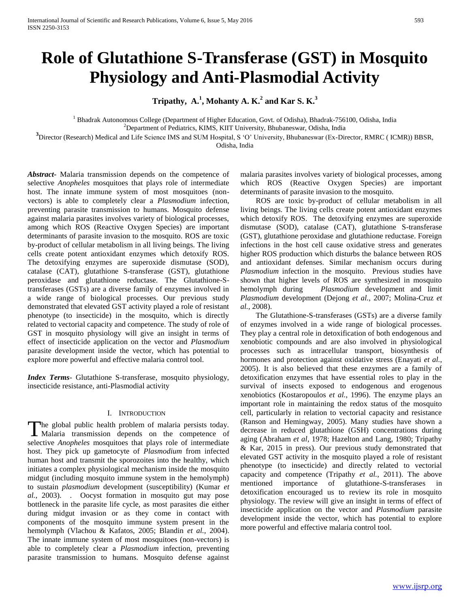# **Role of Glutathione S-Transferase (GST) in Mosquito Physiology and Anti-Plasmodial Activity**

**Tripathy, A.<sup>1</sup> , Mohanty A. K.<sup>2</sup> and Kar S. K.<sup>3</sup>**

<sup>1</sup> Bhadrak Autonomous College (Department of Higher Education, Govt. of Odisha), Bhadrak-756100, Odisha, India <sup>2</sup>Department of Pediatrics, KIMS, KIIT University, Bhubaneswar, Odisha, India

<sup>3</sup> Director (Research) Medical and Life Science IMS and SUM Hospital, S 'O' University, Bhubaneswar (Ex-Director, RMRC ( ICMR)) BBSR, Odisha, India

*Abstract***-** Malaria transmission depends on the competence of selective *Anopheles* mosquitoes that plays role of intermediate host. The innate immune system of most mosquitoes (nonvectors) is able to completely clear a *Plasmodium* infection, preventing parasite transmission to humans. Mosquito defense against malaria parasites involves variety of biological processes, among which ROS (Reactive Oxygen Species) are important determinants of parasite invasion to the mosquito. ROS are toxic by-product of cellular metabolism in all living beings. The living cells create potent antioxidant enzymes which detoxify ROS. The detoxifying enzymes are superoxide dismutase (SOD), catalase (CAT), glutathione S-transferase (GST), glutathione peroxidase and glutathione reductase. The Glutathione-Stransferases (GSTs) are a diverse family of enzymes involved in a wide range of biological processes. Our previous study demonstrated that elevated GST activity played a role of resistant phenotype (to insecticide) in the mosquito, which is directly related to vectorial capacity and competence. The study of role of GST in mosquito physiology will give an insight in terms of effect of insecticide application on the vector and *Plasmodium* parasite development inside the vector, which has potential to explore more powerful and effective malaria control tool.

*Index Terms*- Glutathione S-transferase, mosquito physiology, insecticide resistance, anti-Plasmodial activity

#### I. INTRODUCTION

he global public health problem of malaria persists today. The global public health problem of malaria persists today.<br>
Malaria transmission depends on the competence of selective *Anopheles* mosquitoes that plays role of intermediate host. They pick up gametocyte of *Plasmodium* from infected human host and transmit the sporozoites into the healthy, which initiates a complex physiological mechanism inside the mosquito midgut (including mosquito immune system in the hemolymph) to sustain *plasmodium* development (susceptibility) (Kumar *et al.*, 2003). . Oocyst formation in mosquito gut may pose bottleneck in the parasite life cycle, as most parasites die either during midgut invasion or as they come in contact with components of the mosquito immune system present in the hemolymph (Vlachou & Kafatos, 2005; Blandin *et al.*, 2004). The innate immune system of most mosquitoes (non-vectors) is able to completely clear a *Plasmodium* infection, preventing parasite transmission to humans. Mosquito defense against

malaria parasites involves variety of biological processes, among which ROS (Reactive Oxygen Species) are important determinants of parasite invasion to the mosquito.

 ROS are toxic by-product of cellular metabolism in all living beings. The living cells create potent antioxidant enzymes which detoxify ROS. The detoxifying enzymes are superoxide dismutase (SOD), catalase (CAT), glutathione S-transferase (GST), glutathione peroxidase and glutathione reductase. Foreign infections in the host cell cause oxidative stress and generates higher ROS production which disturbs the balance between ROS and antioxidant defenses. Similar mechanism occurs during *Plasmodium* infection in the mosquito. Previous studies have shown that higher levels of ROS are synthesized in mosquito hemolymph during *Plasmodium* development and limit *Plasmodium* development (Dejong *et al.*, 2007; Molina-Cruz *et al.*, 2008).

 The Glutathione-S-transferases (GSTs) are a diverse family of enzymes involved in a wide range of biological processes. They play a central role in detoxification of both endogenous and xenobiotic compounds and are also involved in physiological processes such as intracellular transport, biosynthesis of hormones and protection against oxidative stress (Enayati *et al.*, 2005). It is also believed that these enzymes are a family of detoxification enzymes that have essential roles to play in the survival of insects exposed to endogenous and erogenous xenobiotics (Kostaropoulos *et al.*, 1996). The enzyme plays an important role in maintaining the redox status of the mosquito cell, particularly in relation to vectorial capacity and resistance (Ranson and Hemingway, 2005). Many studies have shown a decrease in reduced glutathione (GSH) concentrations during aging (Abraham *et al*, 1978; Hazelton and Lang, 1980; Tripathy & Kar, 2015 in press). Our previous study demonstrated that elevated GST activity in the mosquito played a role of resistant phenotype (to insecticide) and directly related to vectorial capacity and competence (Tripathy *et al.*, 2011). The above mentioned importance of glutathione-S-transferases in detoxification encouraged us to review its role in mosquito physiology. The review will give an insight in terms of effect of insecticide application on the vector and *Plasmodium* parasite development inside the vector, which has potential to explore more powerful and effective malaria control tool.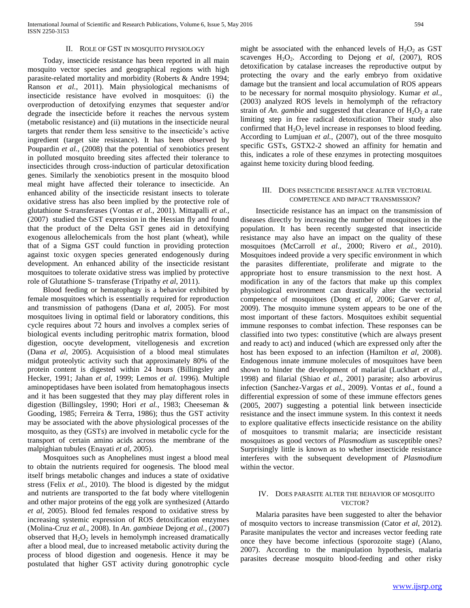#### II. ROLE OF GST IN MOSQUITO PHYSIOLOGY

 Today, insecticide resistance has been reported in all main mosquito vector species and geographical regions with high parasite-related mortality and morbidity (Roberts & Andre 1994; Ranson *et al.*, 2011). Main physiological mechanisms of insecticide resistance have evolved in mosquitoes: (i) the overproduction of detoxifying enzymes that sequester and/or degrade the insecticide before it reaches the nervous system (metabolic resistance) and (ii) mutations in the insecticide neural targets that render them less sensitive to the insecticide's active ingredient (target site resistance). It has been observed by Poupardin *et al.*, (2008) that the potential of xenobiotics present in polluted mosquito breeding sites affected their tolerance to insecticides through cross-induction of particular detoxification genes. Similarly the xenobiotics present in the mosquito blood meal might have affected their tolerance to insecticide. An enhanced ability of the insecticide resistant insects to tolerate oxidative stress has also been implied by the protective role of glutathione S-transferases (Vontas *et al.*, 2001). Mittapalli *et al.,* (2007) studied the GST expression in the Hessian fly and found that the product of the Delta GST genes aid in detoxifying exogenous allelochemicals from the host plant (wheat), while that of a Sigma GST could function in providing protection against toxic oxygen species generated endogenously during development. An enhanced ability of the insecticide resistant mosquitoes to tolerate oxidative stress was implied by protective role of Glutathione S- transferase (Tripathy *et al*, 2011).

 Blood feeding or hematophagy is a behavior exhibited by female mosquitoes which is essentially required for reproduction and transmission of pathogens (Dana *et al*, 2005). For most mosquitoes living in optimal field or laboratory conditions, this cycle requires about 72 hours and involves a complex series of biological events including peritrophic matrix formation, blood digestion, oocyte development, vitellogenesis and excretion (Dana *et al*, 2005). Acquisistion of a blood meal stimulates midgut proteolytic activity such that approximately 80% of the protein content is digested within 24 hours (Billingsley and Hecker, 1991; Jahan *et al*, 1999; Lemos *et al*. 1996). Multiple aminopeptidases have been isolated from hematophagous insects and it has been suggested that they may play different roles in digestion (Billingsley, 1990; Hori *et al.*, 1983; Cheeseman & Gooding, 1985; Ferreira & Terra, 1986); thus the GST activity may be associated with the above physiological processes of the mosquito, as they (GSTs) are involved in metabolic cycle for the transport of certain amino acids across the membrane of the malpighian tubules (Enayati *et al*, 2005).

 Mosquitoes such as Anophelines must ingest a blood meal to obtain the nutrients required for oogenesis. The blood meal itself brings metabolic changes and induces a state of oxidative stress (Felix *et al.*, 2010). The blood is digested by the midgut and nutrients are transported to the fat body where vitellogenin and other major proteins of the egg yolk are synthesized (Attardo *et al*, 2005). Blood fed females respond to oxidative stress by increasing systemic expression of ROS detoxification enzymes (Molina-Cruz *et al.*, 2008). In *An. gambieae* Dejong *et al.*, (2007) observed that  $H_2O_2$  levels in hemolymph increased dramatically after a blood meal, due to increased metabolic activity during the process of blood digestion and oogenesis. Hence it may be postulated that higher GST activity during gonotrophic cycle

might be associated with the enhanced levels of  $H_2O_2$  as GST scavenges H<sub>2</sub>O<sub>2</sub>. According to Dejong *et al*, (2007), ROS detoxification by catalase increases the reproductive output by protecting the ovary and the early embryo from oxidative damage but the transient and local accumulation of ROS appears to be necessary for normal mosquito physiology. Kumar *et al.*, (2003) analyzed ROS levels in hemolymph of the refractory strain of *An. gambie* and suggested that clearance of  $H_2O_2$  a rate limiting step in free radical detoxification. Their study also confirmed that  $H_2O_2$  level increase in responses to blood feeding. According to Lumjuan *et al.*, (2007), out of the three mosquito specific GSTs, GSTX2-2 showed an affinity for hematin and this, indicates a role of these enzymes in protecting mosquitoes against heme toxicity during blood feeding.

#### III. DOES INSECTICIDE RESISTANCE ALTER VECTORIAL COMPETENCE AND IMPACT TRANSMISSION?

 Insecticide resistance has an impact on the transmission of diseases directly by increasing the number of mosquitoes in the population. It has been recently suggested that insecticide resistance may also have an impact on the quality of these mosquitoes (McCarroll *et al.*, 2000; Rivero *et al.*, 2010). Mosquitoes indeed provide a very specific environment in which the parasites differentiate, proliferate and migrate to the appropriate host to ensure transmission to the next host. A modification in any of the factors that make up this complex physiological environment can drastically alter the vectorial competence of mosquitoes (Dong *et al,* 2006; Garver *et al*, 2009). The mosquito immune system appears to be one of the most important of these factors. Mosquitoes exhibit sequential immune responses to combat infection. These responses can be classified into two types: constitutive (which are always present and ready to act) and induced (which are expressed only after the host has been exposed to an infection (Hamilton *et al*, 2008). Endogenous innate immune molecules of mosquitoes have been shown to hinder the development of malarial (Luckhart *et al.*, 1998) and filarial (Shiao *et al.*, 2001) parasite; also arbovirus infection (Sanchez-Vargas *et al.*, 2009). Vontas *et al.*, found a differential expression of some of these immune effectors genes (2005, 2007) suggesting a potential link between insecticide resistance and the insect immune system. In this context it needs to explore qualitative effects insecticide resistance on the ability of mosquitoes to transmit malaria; are insecticide resistant mosquitoes as good vectors of *Plasmodium* as susceptible ones? Surprisingly little is known as to whether insecticide resistance interferes with the subsequent development of *Plasmodium* within the vector.

## IV. DOES PARASITE ALTER THE BEHAVIOR OF MOSQUITO VECTOR?

 Malaria parasites have been suggested to alter the behavior of mosquito vectors to increase transmission (Cator *et al*, 2012). Parasite manipulates the vector and increases vector feeding rate once they have become infectious (sporozoite stage) (Alano, 2007). According to the manipulation hypothesis, malaria parasites decrease mosquito blood-feeding and other risky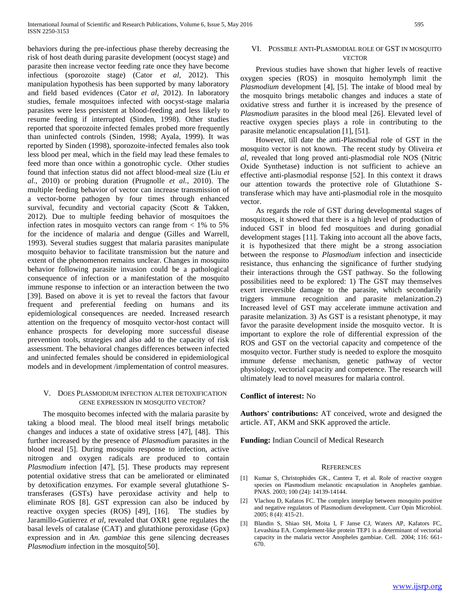behaviors during the pre-infectious phase thereby decreasing the risk of host death during parasite development (oocyst stage) and parasite then increase vector feeding rate once they have become infectious (sporozoite stage) (Cator *et al*, 2012). This manipulation hypothesis has been supported by many laboratory and field based evidences (Cator *et al*, 2012). In laboratory studies, female mosquitoes infected with oocyst-stage malaria parasites were less persistent at blood-feeding and less likely to resume feeding if interrupted (Sinden, 1998). Other studies reported that sporozoite infected females probed more frequently than uninfected controls (Sinden, 1998; Ayala, 1999). It was reported by Sinden (1998), sporozoite-infected females also took less blood per meal, which in the field may lead these females to feed more than once within a gonotrophic cycle. Other studies found that infection status did not affect blood-meal size (Liu *et al.*, 2010) or probing duration (Prugnolle *et al.*, 2010). The multiple feeding behavior of vector can increase transmission of a vector-borne pathogen by four times through enhanced survival, fecundity and vectorial capacity (Scott & Takken, 2012). Due to multiple feeding behavior of mosquitoes the infection rates in mosquito vectors can range from  $< 1\%$  to 5% for the incidence of malaria and dengue (Gilles and Warrell, 1993). Several studies suggest that malaria parasites manipulate mosquito behavior to facilitate transmission but the nature and extent of the phenomenon remains unclear. Changes in mosquito behavior following parasite invasion could be a pathological consequence of infection or a manifestation of the mosquito immune response to infection or an interaction between the two [39]. Based on above it is yet to reveal the factors that favour frequent and preferential feeding on humans and its epidemiological consequences are needed. Increased research attention on the frequency of mosquito vector-host contact will enhance prospects for developing more successful disease prevention tools, strategies and also add to the capacity of risk assessment. The behavioral changes differences between infected and uninfected females should be considered in epidemiological models and in development /implementation of control measures.

## V. DOES PLASMODIUM INFECTION ALTER DETOXIFICATION GENE EXPRESSION IN MOSQUITO VECTOR?

 The mosquito becomes infected with the malaria parasite by taking a blood meal. The blood meal itself brings metabolic changes and induces a state of oxidative stress [47], [48]. This further increased by the presence of *Plasmodium* parasites in the blood meal [5]. During mosquito response to infection, active nitrogen and oxygen radicals are produced to contain *Plasmodium* infection [47], [5]. These products may represent potential oxidative stress that can be ameliorated or eliminated by detoxification enzymes. For example several glutathione Stransferases (GSTs) have peroxidase activity and help to eliminate ROS [8]. GST expression can also be induced by reactive oxygen species (ROS) [49], [16]. The studies by Jaramillo-Gutierrez *et al*, revealed that OXR1 gene regulates the basal levels of catalase (CAT) and glutathione peroxidase (Gpx) expression and in *An. gambiae* this gene silencing decreases *Plasmodium* infection in the mosquito[50].

### VI. POSSIBLE ANTI-PLASMODIAL ROLE OF GST IN MOSQUITO **VECTOR**

 Previous studies have shown that higher levels of reactive oxygen species (ROS) in mosquito hemolymph limit the *Plasmodium* development [4], [5]. The intake of blood meal by the mosquito brings metabolic changes and induces a state of oxidative stress and further it is increased by the presence of *Plasmodium* parasites in the blood meal [26]. Elevated level of reactive oxygen species plays a role in contributing to the parasite melanotic encapsulation [1], [51].

 However, till date the anti-Plasmodial role of GST in the mosquito vector is not known. The recent study by Oliveira *et al*, revealed that long proved anti-plasmodial role NOS (Nitric Oxide Synthetase) induction is not sufficient to achieve an effective anti-plasmodial response [52]. In this context it draws our attention towards the protective role of Glutathione Stransferase which may have anti-plasmodial role in the mosquito vector.

 As regards the role of GST during developmental stages of mosquitoes, it showed that there is a high level of production of induced GST in blood fed mosquitoes and during gonadial development stages [11]. Taking into account all the above facts, it is hypothesized that there might be a strong association between the response to *Plasmodium* infection and insecticide resistance, thus enhancing the significance of further studying their interactions through the GST pathway. So the following possibilities need to be explored: 1) The GST may themselves exert irreversible damage to the parasite, which secondarily triggers immune recognition and parasite melanization.2) Increased level of GST may accelerate immune activation and parasite melanization. 3) As GST is a resistant phenotype, it may favor the parasite development inside the mosquito vector. It is important to explore the role of differential expression of the ROS and GST on the vectorial capacity and competence of the mosquito vector. Further study is needed to explore the mosquito immune defense mechanism, genetic pathway of vector physiology, vectorial capacity and competence. The research will ultimately lead to novel measures for malaria control.

## **Conflict of interest:** No

**Authors' contributions:** AT conceived, wrote and designed the article. AT, AKM and SKK approved the article.

**Funding:** Indian Council of Medical Research

#### **REFERENCES**

- [1] Kumar S, Christophides GK., Cantera T, et al. Role of reactive oxygen species on Plasmodium melanotic encapsulation in Anopheles gambiae. PNAS. 2003; 100 (24): 14139-14144.
- [2] Vlachou D, Kafatos FC. The complex interplay between mosquito positive and negative regulators of Plasmodium development. Curr Opin Microbiol. 2005; 8 (4): 415-21.
- [3] Blandin S, Shiao SH, Moita I, F Janse CJ, Waters AP, Kafators FC, Levashina EA. Complement-like protein TEP1 is a determinant of vectorial capacity in the malaria vector Anopheles gambiae. Cell. 2004; 116: 661- 670.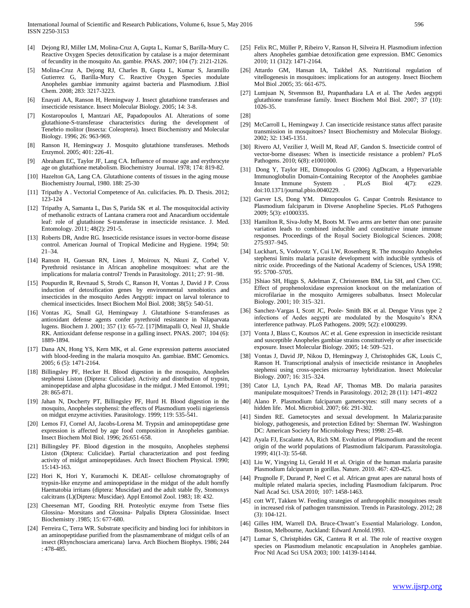- [4] Dejong RJ, Miller LM, Molina-Cruz A, Gupta L, Kumar S, Barilla-Mury C. Reactive Oxygen Species detoxification by catalase is a major determinant of fecundity in the mosquito An. gambie. PNAS. 2007; 104 (7): 2121-2126.
- [5] Molina-Cruz A, Dejong RJ, Charles B, Gupta L, Kumar S, Jaramillo Gutierrez G, Barilla-Mury C. Reactive Oxygen Species modulate Anopheles gambiae immunity against bacteria and Plasmodium. J.Biol Chem. 2008; 283: 3217-3223.
- [6] Enayati AA, Ranson H, Hemingway J. Insect glutathione transferases and insecticide resistance. Insect Molecular Biology. 2005; 14: 3-8.
- [7] Kostaropoulos I, Mantzari AE, Papadopoulos AI. Alterations of some glutathione-S-transferase characteristics during the development of Tenebrio molitor (Insecta: Coleoptera). Insect Biochemistry and Molecular Biology. 1996; 26: 963-969.
- [8] Ranson H, Hemingway J. Mosquito glutathione transferases. Methods Enzymol. 2005; 401: 226-41.
- [9] Abraham EC, Taylor JF, Lang CA. Influence of mouse age and erythrocyte age on glutathione metabolism. Biochemistry Journal. 1978; 174: 819-82.
- [10] Hazelton GA, Lang CA. Glutathione contents of tissues in the aging mouse Biochemistry Journal, 1980. 188: 25-30
- [11] Tripathy A. Vectorial Competence of An. culicifacies. Ph. D. Thesis. 2012; 123-124
- [12] Tripathy A, Samanta L, Das S, Parida SK et al. The mosquitocidal activity of methanolic extracts of Lantana cramera root and Anacardium occidentale leaf: role of glutathione S-transferase in insecticide resistance. J. Med. Entomology. 2011; 48(2): 291-5.
- [13] Roberts DR, Andre RG. Insecticide resistance issues in vector-borne disease control. American Journal of Tropical Medicine and Hygiene. 1994; 50: 21–34.
- [14] Ranson H, Guessan RN, Lines J, Moiroux N, Nkuni Z, Corbel V. Pyrethroid resistance in African anopheline mosquitoes: what are the implications for malaria control? Trends in Parasitology. 2011; 27: 91–98.
- [15] Poupurdin R, Revnaud S, Strods C, Ranson H, Vontas J, David J P. Cross induction of detoxification genes by environmental xenobiotics and insecticides in the mosquito Aedes Aegypti: impact on larval tolerance to chemical insecticides. Insect Biochem Mol Biol. 2008; 38(5): 540-51.
- [16] Vontas JG, Small GJ, Hemingway J. Glutathione S-transferases as antioxidant defense agents confer pyrethroid resistance in Nilaparvata lugens. Biochem J. 2001; 357 (1): 65-72. [17]Mittapalli O, Neal JJ, Shukle RK. Antioxidant defense response in a galling insect. PNAS. 2007; 104 (6): 1889-1894.
- [17] Dana AN, Hong YS, Kern MK, et al. Gene expression patterns associated with blood-feeding in the malaria mosquito An. gambiae. BMC Genomics. 2005; 6 (5): 1471-2164.
- [18] Billingsley PF, Hecker H. Blood digestion in the mosquito, Anopheles stephensi Liston (Diptera: Culicidae). Activity and distribution of trypsin, aminopeptidase and alpha glucosidase in the midgut. J Med Entomol. 1991; 28: 865-871.
- [19] Jahan N, Docherty PT, Billingsley PF, Hurd H. Blood digestion in the mosquito, Anopheles stephensi: the effects of Plasmodium yoelii nigeriensis on midgut enzyme activities. Parasitology. 1999; 119: 535-541.
- [20] Lemos FJ, Cornel AJ, Jacobs-Lorena M. Trypsin and aminopeptidase gene expression is affected by age food composition in Anopheles gambiae. Insect Biochem Mol Biol. 1996; 26:651-658.
- [21] Billingsley PF. Blood digestion in the mosquito, Anopheles stephensi Liston (Diptera: Culicidae). Partial characterization and post feeding activity of midgut aminopeptidases. Arch Insect Biochem Physical. 1990; 15:143-163.
- [22] Hori K, Hori Y, Kuramochi K. DEAE- cellulose chromatography of trypsin-like enzyme and aminopeptidase in the midgut of the adult hornfly Haematobia irritans (diptera: Muscidae) and the adult stable fly, Stomoxys calcitrans (L)(Diptera: Muscidae). Appl Entomol Zool. 1983; 18: 432.
- [23] Cheeseman MT, Gooding RH. Proteolytic enzyme from Tsetse flies Glossina- Morsitans and Glossina- Palpalis Diptera Glossinidae. Insect Biochemistry .1985; 15: 677-680.
- [24] Ferreira C, Terra WR. Substrate specificity and binding loci for inhibitors in an aminopeptidase purified from the plasmamembrane of midgut cells of an insect (Rhynchosciara americana) larva. Arch Biochem Biophys. 1986; 244 : 478-485.
- [25] Felix RC, Müller P, Ribeiro V, Ranson H, Silveira H. Plasmodium infection alters Anopheles gambiae detoxification gene expression. BMC Genomics 2010; 11 (312): 1471-2164.
- [26] Attardo GM, Hansan IA, Taikhel AS. Nutritional regulation of vitellogenesis in mosquitoes: implications for an autogeny. Insect Biochem Mol Biol .2005; 35: 661-675.
- [27] Lumjuan N, Stvennson BJ, Prapanthadara LA et al. The Aedes aegypti glutathione transferase family. Insect Biochem Mol Biol. 2007; 37 (10): 1026-35.

- [29] McCarroll L, Hemingway J. Can insecticide resistance status affect parasite transmission in mosquitoes? Insect Biochemistry and Molecular Biology. 2002; 32: 1345-1351.
- [30] Rivero AJ, Vezilier J, Weill M, Read AF, Gandon S. Insecticide control of vector-borne diseases: When is insecticide resistance a problem? PLoS Pathogens. 2010; 6(8): e1001000.
- [31] Dong Y, Taylor HE, Dimopoulos G (2006) AgDscam, a Hypervariable Immunoglobulin Domain-Containing Receptor of the Anopheles gambiae Innate Immune System . PLoS Biol 4(7): e229. doi:10.1371/journal.pbio.0040229.
- [32] Garver LS, Dong YM. Dimopoulos G. Caspar Controls Resistance to Plasmodium falciparum in Diverse Anopheline Species. PLoS Pathogens 2009; 5(3): e1000335.
- [33] Hamilton R, Siva-Jothy M, Boots M. Two arms are better than one: parasite variation leads to combined inducible and constitutive innate immune responses. Proceedings of the Royal Society Biological Sciences. 2008; 275:937–945.
- [34] Luckhart, S, Vodovotz Y, Cui LW, Rosenberg R. The mosquito Anopheles stephensi limits malaria parasite development with inducible synthesis of nitric oxide. Proceedings of the National Academy of Sciences, USA 1998; 95: 5700–5705.
- [35] ]Shiao SH, Higgs S, Adelman Z, Christensen BM, Liu SH, and Chen CC. Effect of prophenoloxidase expression knockout on the melanization of microfilariae in the mosquito Armigeres subalbatus. Insect Molecular Biology. 2001; 10: 315–321.
- [36] Sanchez-Vargas I, Scott JC, Poole- Smith BK et al. Dengue Virus type 2 infections of Aedes aegypti are modulated by the Mosquito's RNA interference pathway. PLoS Pathogens. 2009; 5(2): e1000299.
- [37] Vonta J, Blass C, Koutsos AC et al. Gene expression in insecticide resistant and susceptible Anopheles gambiae strains constitutively or after insecticide exposure. Insect Molecular Biology. 2005; 14: 509–521.
- [38] Vontas J, David JP, Nikou D, Hemingway J, Christophides GK, Louis C, Ranson H. Transcriptional analysis of insecticide resistance in Anopheles stephensi using cross-species microarray hybridization. Insect Molecular Biology. 2007; 16: 315–324.
- [39] Cator LJ, Lynch PA, Read AF, Thomas MB. Do malaria parasites manipulate mosquitoes? Trends in Parasitology. 2012; 28 (11): 1471-4922
- [40] Alano P. Plasmodium falciparum gametocytes: still many secrets of a hidden life. Mol. Microbiol. 2007; 66: 291-302.
- [41] Sinden RE. Gametocytes and sexual development. In Malaria:parasite biology, pathogenesis, and protection Edited by: Sherman IW. Washington DC: American Society for Microbiology Press; 1998: 25-48.
- [42] Ayala FJ, Escalante AA, Rich SM. Evolution of Plasmodium and the recent origin of the world populations of Plasmodium falciparum. Parassitologia. 1999; 41(1-3): 55-68.
- [43] Liu W, Yingying Li, Gerald H et al. Origin of the human malaria parasite Plasmodium falciparum in gorillas. Nature. 2010. 467: 420-425.
- [44] Prugnolle F, Durand P, Neel C et al. African great apes are natural hosts of multiple related malaria species, including Plasmodium falciparum. Proc Natl Acad Sci. USA 2010; 107: 1458-1463.
- [45] cott WT, Takken W. Feeding strategies of anthropophilic mosquitoes result in increased risk of pathogen transmission. Trends in Parasitology. 2012; 28 (3): 104-121.
- [46] Gilles HM, Warrell DA. Bruce-Chwatt's Essential Malariology. London, Boston, Melbourne, Auckland: Edward Arnold.1993.
- [47] Lumar S, Christphides GK, Cantera R et al. The role of reactive oxygen species on Plasmodium melanotic encapsulation in Anopheles gambiae. Proc Ntl Acad Sci USA 2003; 100: 14139-14144.

<sup>[28]</sup>